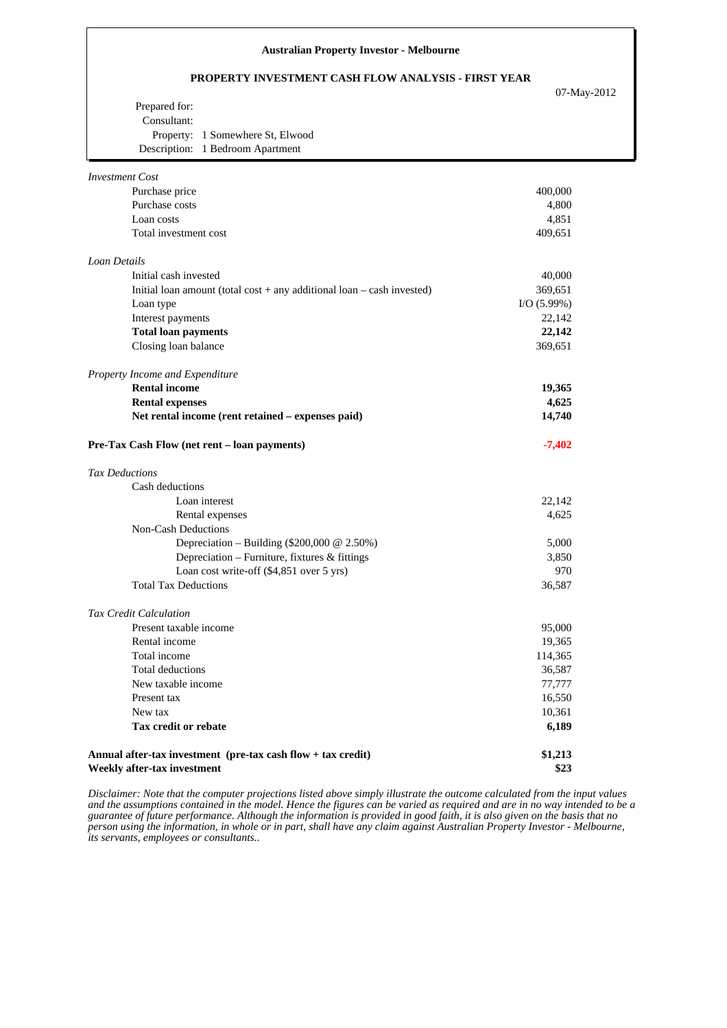#### **Australian Property Investor - Melbourne**

### **PROPERTY INVESTMENT CASH FLOW ANALYSIS - FIRST YEAR**

07-May-2012

| Property: 1 Somewhere St, Elwood |
|----------------------------------|
| Description: 1 Bedroom Apartment |
|                                  |

| <b>Investment Cost</b>                                                     |               |
|----------------------------------------------------------------------------|---------------|
| Purchase price                                                             | 400,000       |
| Purchase costs                                                             | 4,800         |
| Loan costs                                                                 | 4,851         |
| Total investment cost                                                      | 409,651       |
| Loan Details                                                               |               |
| Initial cash invested                                                      | 40,000        |
| Initial loan amount (total cost $+$ any additional loan $-$ cash invested) | 369,651       |
| Loan type                                                                  | $I/O$ (5.99%) |
| Interest payments                                                          | 22,142        |
| <b>Total loan payments</b>                                                 | 22,142        |
| Closing loan balance                                                       | 369,651       |
| Property Income and Expenditure                                            |               |
| <b>Rental income</b>                                                       | 19,365        |
| <b>Rental expenses</b>                                                     | 4,625         |
| Net rental income (rent retained - expenses paid)                          | 14,740        |
| Pre-Tax Cash Flow (net rent - loan payments)                               | $-7,402$      |
| <b>Tax Deductions</b>                                                      |               |
| Cash deductions                                                            |               |
| Loan interest                                                              | 22,142        |
| Rental expenses                                                            | 4,625         |
| Non-Cash Deductions                                                        |               |
| Depreciation - Building (\$200,000 $@$ 2.50%)                              | 5,000         |
| Depreciation - Furniture, fixtures & fittings                              | 3,850         |
| Loan cost write-off $(\$4,851$ over 5 yrs)                                 | 970           |
| <b>Total Tax Deductions</b>                                                | 36,587        |
| <b>Tax Credit Calculation</b>                                              |               |
| Present taxable income                                                     | 95,000        |
| Rental income                                                              | 19,365        |
| Total income                                                               | 114,365       |
| Total deductions                                                           | 36,587        |
| New taxable income                                                         | 77,777        |
| Present tax                                                                | 16,550        |
| New tax                                                                    | 10,361        |
| Tax credit or rebate                                                       | 6,189         |
| Annual after-tax investment (pre-tax cash flow + tax credit)               | \$1,213       |
| Weekly after-tax investment                                                | \$23          |

*Disclaimer: Note that the computer projections listed above simply illustrate the outcome calculated from the input values and the assumptions contained in the model. Hence the figures can be varied as required and are in no way intended to be a guarantee of future performance. Although the information is provided in good faith, it is also given on the basis that no person using the information, in whole or in part, shall have any claim against Australian Property Investor - Melbourne, its servants, employees or consultants..*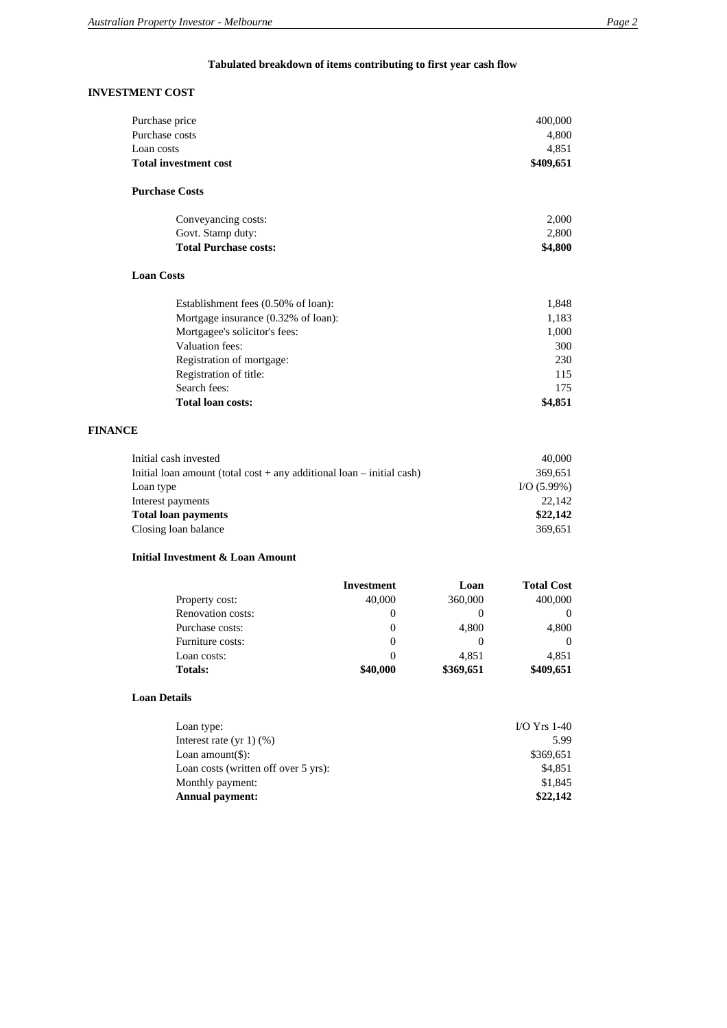# **Tabulated breakdown of items contributing to first year cash flow**

### **INVESTMENT COST**

| Purchase price                      | 400,000   |
|-------------------------------------|-----------|
| Purchase costs                      | 4,800     |
| Loan costs                          | 4,851     |
| <b>Total investment cost</b>        | \$409,651 |
| <b>Purchase Costs</b>               |           |
| Conveyancing costs:                 | 2,000     |
| Govt. Stamp duty:                   | 2,800     |
| <b>Total Purchase costs:</b>        | \$4,800   |
| <b>Loan Costs</b>                   |           |
| Establishment fees (0.50% of loan): | 1,848     |
| Mortgage insurance (0.32% of loan): | 1,183     |
| Mortgagee's solicitor's fees:       | 1,000     |
| Valuation fees:                     | 300       |
| Registration of mortgage:           | 230       |
| Registration of title:              | 115       |
| Search fees:                        | 175       |
| <b>Total loan costs:</b>            | \$4,851   |
| <b>FINANCE</b>                      |           |
| Initial cash invested               | 40,000    |

| Initial cash invested                                                     | 40.000     |
|---------------------------------------------------------------------------|------------|
| Initial loan amount (total cost $+$ any additional loan $-$ initial cash) | 369.651    |
| Loan type                                                                 | I/O(5.99%) |
| Interest payments                                                         | 22.142     |
| <b>Total loan payments</b>                                                | \$22,142   |
| Closing loan balance                                                      | 369.651    |
|                                                                           |            |

### **Initial Investment & Loan Amount**

|                          | Investment | Loan      | <b>Total Cost</b> |
|--------------------------|------------|-----------|-------------------|
| Property cost:           | 40,000     | 360,000   | 400,000           |
| <b>Renovation costs:</b> | $\theta$   |           |                   |
| Purchase costs:          | $\theta$   | 4,800     | 4,800             |
| Furniture costs:         | $\theta$   |           |                   |
| Loan costs:              | $\theta$   | 4.851     | 4.851             |
| <b>Totals:</b>           | \$40,000   | \$369,651 | \$409,651         |

#### **Loan Details**

| Loan type:                           | $IO Yrs 1-40$ |
|--------------------------------------|---------------|
| Interest rate $(yr 1)(% )$           | 5.99          |
| Loan amount $(\$\)$ :                | \$369.651     |
| Loan costs (written off over 5 yrs): | \$4,851       |
| Monthly payment:                     | \$1,845       |
| <b>Annual payment:</b>               | \$22,142      |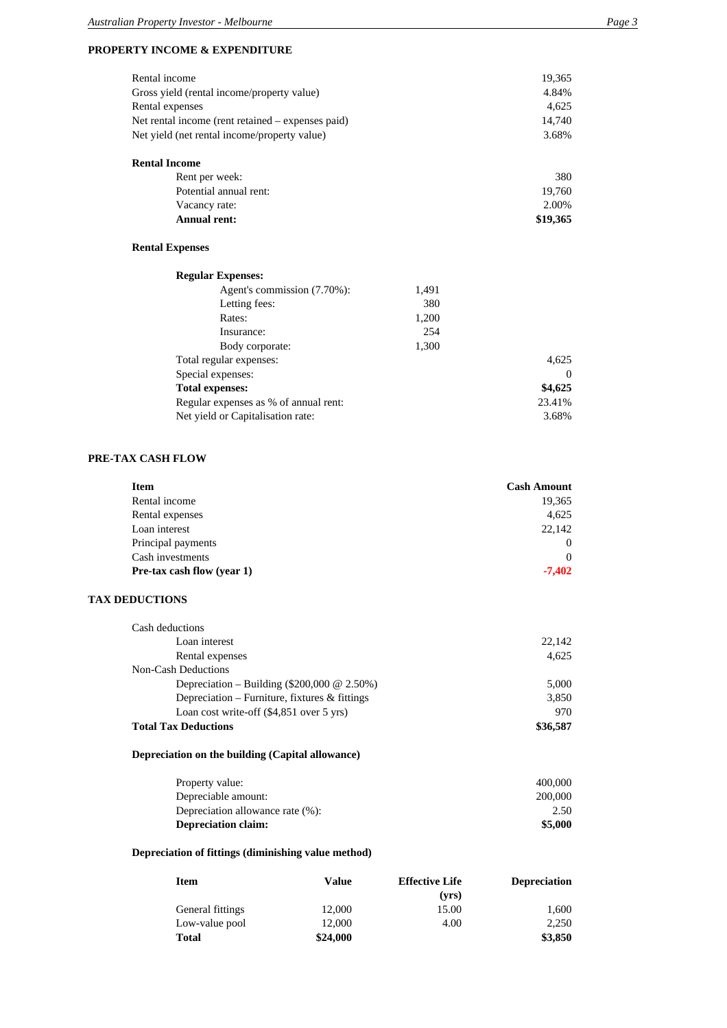### **PROPERTY INCOME & EXPENDITURE**

| Rental income                                                                                                               | 19,365          |
|-----------------------------------------------------------------------------------------------------------------------------|-----------------|
| Gross yield (rental income/property value)                                                                                  | 4.84%           |
| Rental expenses                                                                                                             | 4,625           |
| Net rental income (rent retained $-$ expenses paid)<br>Net yield (net rental income/property value)<br><b>Rental Income</b> | 14.740<br>3.68% |
| Rent per week:                                                                                                              | 380             |
| Potential annual rent:                                                                                                      | 19,760          |
| Vacancy rate:                                                                                                               | 2.00%           |

## **Rental Expenses**

| <b>Regular Expenses:</b>              |       |         |
|---------------------------------------|-------|---------|
| Agent's commission (7.70%):           | 1,491 |         |
| Letting fees:                         | 380   |         |
| Rates:                                | 1,200 |         |
| Insurance:                            | 254   |         |
| Body corporate:                       | 1,300 |         |
| Total regular expenses:               |       | 4,625   |
| Special expenses:                     |       | 0       |
| <b>Total expenses:</b>                |       | \$4,625 |
| Regular expenses as % of annual rent: |       | 23.41%  |
| Net yield or Capitalisation rate:     |       | 3.68%   |

**Annual rent: \$19,365**

#### **PRE-TAX CASH FLOW**

| <b>Item</b>                       | <b>Cash Amount</b> |
|-----------------------------------|--------------------|
| Rental income                     | 19,365             |
| Rental expenses                   | 4,625              |
| Loan interest                     | 22,142             |
| Principal payments                | $\Omega$           |
| Cash investments                  | $\Omega$           |
| <b>Pre-tax cash flow (year 1)</b> | $-7,402$           |

## **TAX DEDUCTIONS**

| Cash deductions                                    |          |
|----------------------------------------------------|----------|
| Loan interest                                      | 22.142   |
| Rental expenses                                    | 4,625    |
| <b>Non-Cash Deductions</b>                         |          |
| Depreciation – Building (\$200,000 $\omega$ 2.50%) | 5.000    |
| Depreciation – Furniture, fixtures $\&$ fittings   | 3,850    |
| Loan cost write-off (\$4,851 over 5 yrs)           | 970      |
| <b>Total Tax Deductions</b>                        | \$36,587 |

## **Depreciation on the building (Capital allowance)**

| Property value:                  | 400,000 |
|----------------------------------|---------|
| Depreciable amount:              | 200,000 |
| Depreciation allowance rate (%): | 2.50    |
| <b>Depreciation claim:</b>       | \$5,000 |

## **Depreciation of fittings (diminishing value method)**

| Item             | Value    | <b>Effective Life</b> | <b>Depreciation</b> |
|------------------|----------|-----------------------|---------------------|
|                  |          | (vrs)                 |                     |
| General fittings | 12,000   | 15.00                 | 1.600               |
| Low-value pool   | 12,000   | 4.00                  | 2.250               |
| <b>Total</b>     | \$24,000 |                       | \$3,850             |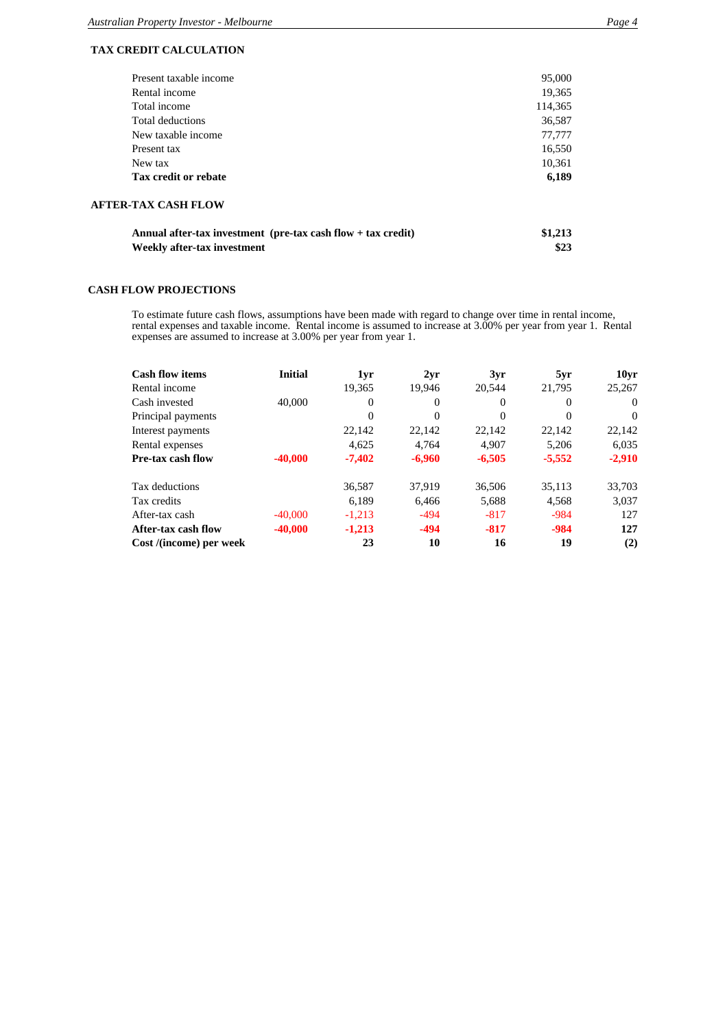## **TAX CREDIT CALCULATION**

| Annual after-tax investment (pre-tax cash flow $+$ tax credit)<br>Weekly after-tax investment | \$1,213<br>\$23 |
|-----------------------------------------------------------------------------------------------|-----------------|
| <b>AFTER-TAX CASH FLOW</b>                                                                    |                 |
| Tax credit or rebate                                                                          | 6,189           |
| New tax                                                                                       | 10,361          |
| Present tax                                                                                   | 16,550          |
| New taxable income                                                                            | 77,777          |
| Total deductions                                                                              | 36,587          |
| Total income                                                                                  | 114,365         |
| Rental income                                                                                 | 19,365          |
| Present taxable income                                                                        | 95,000          |

### **CASH FLOW PROJECTIONS**

To estimate future cash flows, assumptions have been made with regard to change over time in rental income, rental expenses and taxable income. Rental income is assumed to increase at 3.00% per year from year 1. Rental expenses are assumed to increase at 3.00% per year from year 1.

| <b>Cash flow items</b>  | <b>Initial</b> | 1yr      | 2yr      | 3yr      | 5yr      | 10 <sub>vr</sub> |
|-------------------------|----------------|----------|----------|----------|----------|------------------|
| Rental income           |                | 19.365   | 19.946   | 20.544   | 21.795   | 25,267           |
| Cash invested           | 40,000         | $\Omega$ | $\Omega$ | $\Omega$ | $\Omega$ | $\Omega$         |
| Principal payments      |                | $\Omega$ | $\Omega$ | $\Omega$ | $\Omega$ | $\Omega$         |
| Interest payments       |                | 22,142   | 22,142   | 22,142   | 22,142   | 22,142           |
| Rental expenses         |                | 4.625    | 4.764    | 4.907    | 5.206    | 6,035            |
| Pre-tax cash flow       | $-40,000$      | $-7,402$ | $-6,960$ | $-6,505$ | $-5,552$ | $-2,910$         |
| Tax deductions          |                | 36.587   | 37.919   | 36.506   | 35.113   | 33.703           |
| Tax credits             |                | 6,189    | 6,466    | 5,688    | 4,568    | 3,037            |
| After-tax cash          | $-40,000$      | $-1,213$ | $-494$   | $-817$   | $-984$   | 127              |
| After-tax cash flow     | $-40,000$      | $-1,213$ | $-494$   | $-817$   | $-984$   | 127              |
| Cost /(income) per week |                | 23       | 10       | 16       | 19       | (2)              |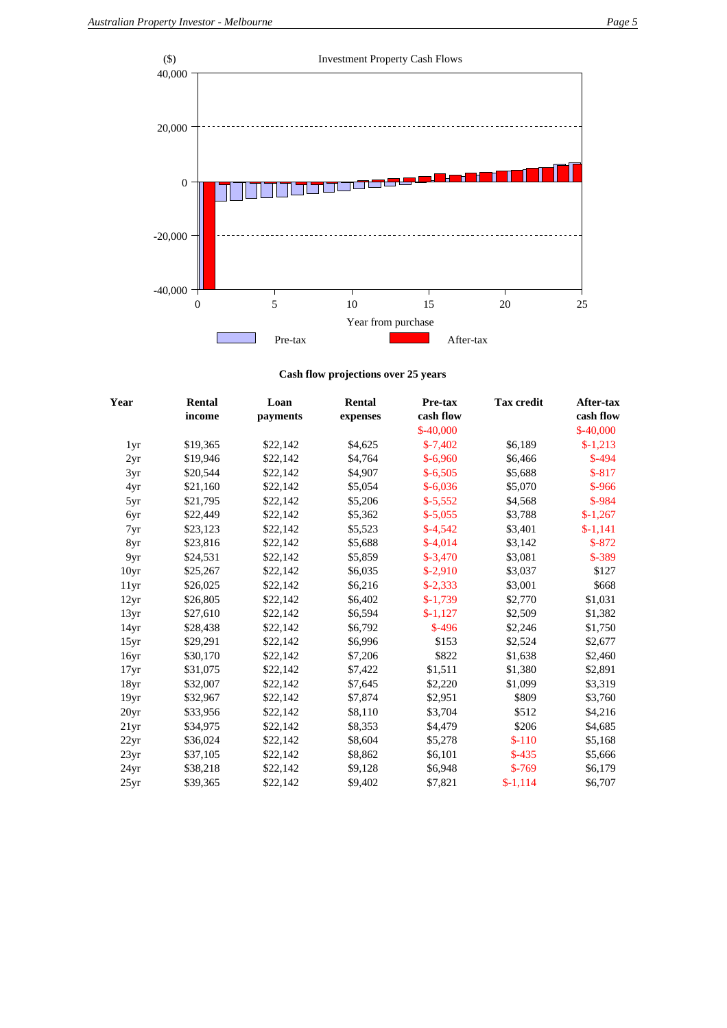

**Cash flow projections over 25 years**

| Year             | Rental   | Loan     | Rental   | Pre-tax    | <b>Tax credit</b> | After-tax  |  |
|------------------|----------|----------|----------|------------|-------------------|------------|--|
|                  | income   | payments | expenses | cash flow  |                   | cash flow  |  |
|                  |          |          |          | $$-40,000$ |                   | $$-40,000$ |  |
| 1yr              | \$19,365 | \$22,142 | \$4,625  | $$-7,402$  | \$6,189           | $$-1,213$  |  |
| 2yr              | \$19,946 | \$22,142 | \$4,764  | $$-6,960$  | \$6,466           | $$-494$    |  |
| 3yr              | \$20,544 | \$22,142 | \$4,907  | $$-6,505$  | \$5,688           | $$-817$    |  |
| 4yr              | \$21,160 | \$22,142 | \$5,054  | $$-6,036$  | \$5,070           | $$ -966$   |  |
| 5yr              | \$21,795 | \$22,142 | \$5,206  | $$-5,552$  | \$4,568           | $$ -984$   |  |
| 6yr              | \$22,449 | \$22,142 | \$5,362  | $$-5,055$  | \$3,788           | $$-1,267$  |  |
| 7yr              | \$23,123 | \$22,142 | \$5,523  | $$-4,542$  | \$3,401           | $$-1,141$  |  |
| 8yr              | \$23,816 | \$22,142 | \$5,688  | $$-4,014$  | \$3,142           | $$-872$    |  |
| 9yr              | \$24,531 | \$22,142 | \$5,859  | $$-3,470$  | \$3,081           | $$ -389$   |  |
| 10 <sub>yr</sub> | \$25,267 | \$22,142 | \$6,035  | $$-2,910$  | \$3,037           | \$127      |  |
| 11yr             | \$26,025 | \$22,142 | \$6,216  | $$-2,333$  | \$3,001           | \$668      |  |
| 12yr             | \$26,805 | \$22,142 | \$6,402  | $$-1,739$  | \$2,770           | \$1,031    |  |
| 13yr             | \$27,610 | \$22,142 | \$6,594  | $$-1,127$  | \$2,509           | \$1,382    |  |
| 14yr             | \$28,438 | \$22,142 | \$6,792  | $$-496$    | \$2,246           | \$1,750    |  |
| 15yr             | \$29,291 | \$22,142 | \$6,996  | \$153      | \$2,524           | \$2,677    |  |
| 16yr             | \$30,170 | \$22,142 | \$7,206  | \$822      | \$1,638           | \$2,460    |  |
| 17 <sub>yr</sub> | \$31,075 | \$22,142 | \$7,422  | \$1,511    | \$1,380           | \$2,891    |  |
| 18yr             | \$32,007 | \$22,142 | \$7,645  | \$2,220    | \$1,099           | \$3,319    |  |
| 19yr             | \$32,967 | \$22,142 | \$7,874  | \$2,951    | \$809             | \$3,760    |  |
| 20 <sub>yr</sub> | \$33,956 | \$22,142 | \$8,110  | \$3,704    | \$512             | \$4,216    |  |
| 21 <sub>yr</sub> | \$34,975 | \$22,142 | \$8,353  | \$4,479    | \$206             | \$4,685    |  |
| 22yr             | \$36,024 | \$22,142 | \$8,604  | \$5,278    | $$-110$           | \$5,168    |  |
| 23yr             | \$37,105 | \$22,142 | \$8,862  | \$6,101    | $$-435$           | \$5,666    |  |
| 24 <sub>yr</sub> | \$38,218 | \$22,142 | \$9,128  | \$6,948    | $$-769$           | \$6,179    |  |
| 25yr             | \$39,365 | \$22,142 | \$9.402  | \$7,821    | $$-1,114$         | \$6,707    |  |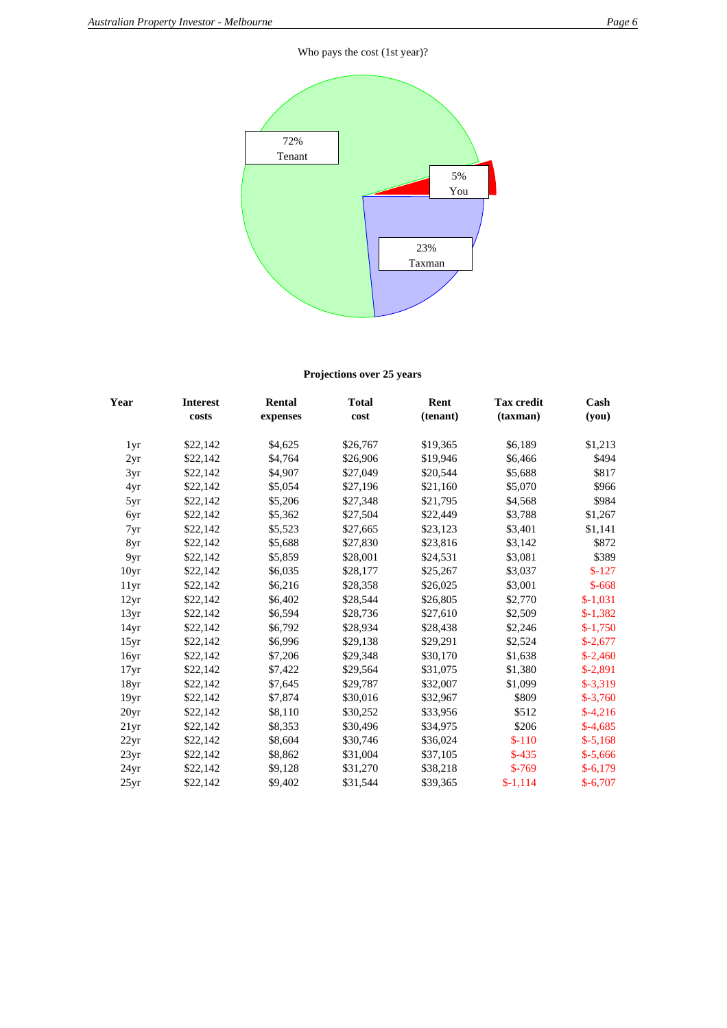## Who pays the cost (1st year)?



## **Projections over 25 years**

| Year             | <b>Interest</b> | <b>Rental</b> | <b>Total</b> | Rent     | <b>Tax credit</b> | Cash      |
|------------------|-----------------|---------------|--------------|----------|-------------------|-----------|
|                  | costs           | expenses      | cost         | (tenant) | (taxman)          | (you)     |
| 1yr              | \$22,142        | \$4,625       | \$26,767     | \$19,365 | \$6,189           | \$1,213   |
| 2yr              | \$22,142        | \$4,764       | \$26,906     | \$19,946 | \$6,466           | \$494     |
| 3yr              | \$22,142        | \$4,907       | \$27,049     | \$20,544 | \$5,688           | \$817     |
| 4yr              | \$22,142        | \$5,054       | \$27,196     | \$21,160 | \$5,070           | \$966     |
| 5yr              | \$22,142        | \$5,206       | \$27,348     | \$21,795 | \$4,568           | \$984     |
| 6yr              | \$22,142        | \$5,362       | \$27,504     | \$22,449 | \$3,788           | \$1,267   |
| 7yr              | \$22,142        | \$5,523       | \$27,665     | \$23,123 | \$3,401           | \$1,141   |
| 8yr              | \$22,142        | \$5,688       | \$27,830     | \$23,816 | \$3,142           | \$872     |
| 9yr              | \$22,142        | \$5,859       | \$28,001     | \$24,531 | \$3,081           | \$389     |
| 10 <sub>yr</sub> | \$22,142        | \$6,035       | \$28,177     | \$25,267 | \$3,037           | $$-127$   |
| 11yr             | \$22,142        | \$6,216       | \$28,358     | \$26,025 | \$3,001           | $$-668$   |
| 12yr             | \$22,142        | \$6,402       | \$28,544     | \$26,805 | \$2,770           | $$-1,031$ |
| 13yr             | \$22,142        | \$6,594       | \$28,736     | \$27,610 | \$2,509           | $$-1,382$ |
| 14yr             | \$22,142        | \$6,792       | \$28,934     | \$28,438 | \$2,246           | $$-1,750$ |
| 15yr             | \$22,142        | \$6,996       | \$29,138     | \$29,291 | \$2,524           | $$-2,677$ |
| 16yr             | \$22,142        | \$7,206       | \$29,348     | \$30,170 | \$1,638           | $$-2,460$ |
| 17yr             | \$22,142        | \$7,422       | \$29,564     | \$31,075 | \$1,380           | $$-2,891$ |
| 18yr             | \$22,142        | \$7,645       | \$29,787     | \$32,007 | \$1,099           | $$-3,319$ |
| 19yr             | \$22,142        | \$7,874       | \$30,016     | \$32,967 | \$809             | $$-3,760$ |
| 20 <sub>yr</sub> | \$22,142        | \$8,110       | \$30,252     | \$33,956 | \$512             | $$-4,216$ |
| 21 <sub>yr</sub> | \$22,142        | \$8,353       | \$30,496     | \$34,975 | \$206             | $$-4,685$ |
| 22yr             | \$22,142        | \$8,604       | \$30,746     | \$36,024 | $$-110$           | $$-5,168$ |
| 23yr             | \$22,142        | \$8,862       | \$31,004     | \$37,105 | $$-435$           | $$-5,666$ |
| 24yr             | \$22,142        | \$9,128       | \$31,270     | \$38,218 | $$-769$           | $$-6,179$ |
| 25yr             | \$22,142        | \$9,402       | \$31,544     | \$39,365 | $$-1,114$         | $$-6,707$ |